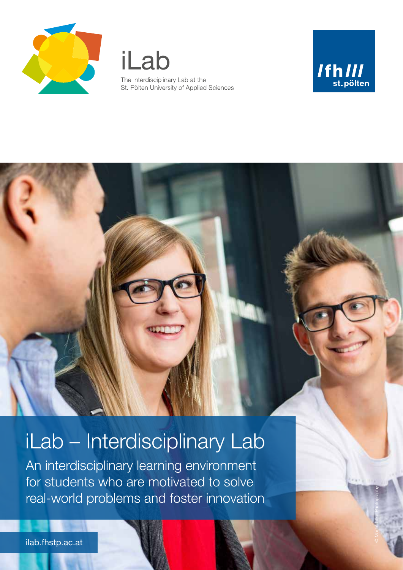

iLab The Interdisciplinary Lab at the St. Pölten University of Applied Sciences



© Martin Lifka Photography

# iLab – Interdisciplinary Lab

An interdisciplinary learning environment for students who are motivated to solve real-world problems and foster innovation

ilab.fhstp.ac.at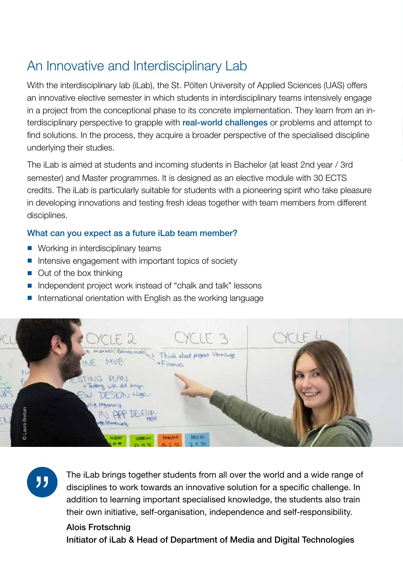# An Innovative and Interdisciplinary Lab

With the interdisciplinary lab (iLab), the St. Pölten University of Applied Sciences (UAS) offers an innovative elective semester in which students in interdisciplinary teams intensively engage in a project from the conceptional phase to its concrete implementation. They learn from an interdisciplinary perspective to grapple with real-world challenges or problems and attempt to find solutions. In the process, they acquire a broader perspective of the specialised discipline underlying their studies.

The iLab is aimed at students and incoming students in Bachelor (at least 2nd year / 3rd semester) and Master programmes. It is designed as an elective module with 30 ECTS credits. The iLab is particularly suitable for students with a pioneering spirit who take pleasure in developing innovations and testing fresh ideas together with team members from different disciplines.

#### What can you expect as a future iLab team member?

- Working in interdisciplinary teams
- Intensive engagement with important topics of society
- Out of the box thinking
- Independent project work instead of "chalk and talk" lessons
- International orientation with English as the working language



"

The iLab brings together students from all over the world and a wide range of disciplines to work towards an innovative solution for a specific challenge. In addition to learning important specialised knowledge, the students also train their own initiative, self-organisation, independence and self-responsibility.

#### Alois Frotschnig

Initiator of iLab & Head of Department of Media and Digital Technologies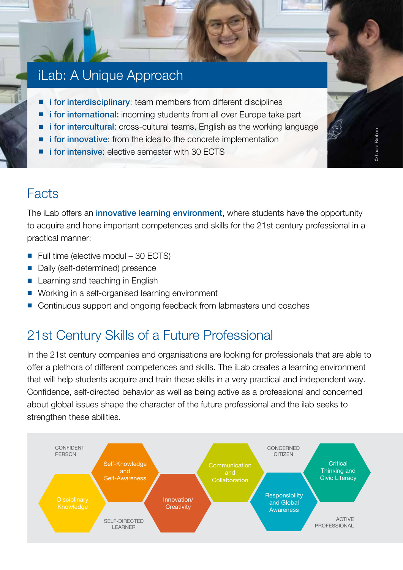### iLab: A Unique Approach

- **i for interdisciplinary**: team members from different disciplines
- i for international: incoming students from all over Europe take part
- **i for intercultural:** cross-cultural teams, English as the working language
- **i for innovative:** from the idea to the concrete implementation
- **i for intensive**: elective semester with 30 ECTS

### Facts

The iLab offers an innovative learning environment, where students have the opportunity to acquire and hone important competences and skills for the 21st century professional in a practical manner:

- Full time (elective modul 30 ECTS)
- Daily (self-determined) presence
- Learning and teaching in English
- Working in a self-organised learning environment
- Continuous support and ongoing feedback from labmasters und coaches

# 21st Century Skills of a Future Professional

In the 21st century companies and organisations are looking for professionals that are able to offer a plethora of different competences and skills. The iLab creates a learning environment that will help students acquire and train these skills in a very practical and independent way. Confidence, self-directed behavior as well as being active as a professional and concerned about global issues shape the character of the future professional and the ilab seeks to strengthen these abilities.